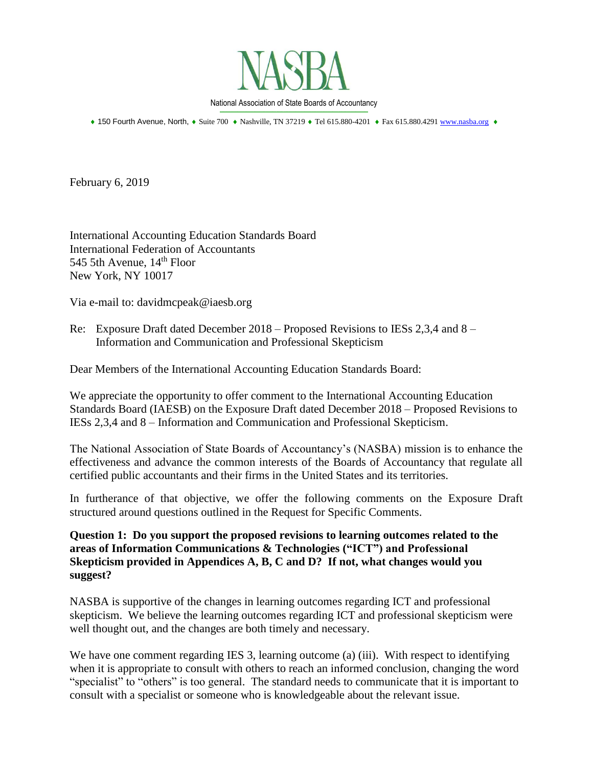

\_\_\_\_\_\_\_\_\_\_\_\_\_\_\_\_\_\_\_\_\_\_\_\_\_\_\_\_\_\_\_\_\_\_\_\_\_\_\_\_\_\_\_\_\_\_\_\_\_\_\_\_\_\_\_\_\_\_\_\_\_\_\_\_\_\_\_\_\_\_\_\_\_\_\_\_\_\_\_\_\_\_\_\_ + 150 Fourth Avenue, North, + Suite 700 + Nashville, TN 37219 + Tel 615.880-4201 + Fax 615.880.4291 [www.nasba.org](http://www.nasba.org/) +

February 6, 2019

International Accounting Education Standards Board International Federation of Accountants 545 5th Avenue,  $14<sup>th</sup>$  Floor New York, NY 10017

Via e-mail to: davidmcpeak@iaesb.org

Re: Exposure Draft dated December 2018 – Proposed Revisions to IESs 2,3,4 and 8 – Information and Communication and Professional Skepticism

Dear Members of the International Accounting Education Standards Board:

We appreciate the opportunity to offer comment to the International Accounting Education Standards Board (IAESB) on the Exposure Draft dated December 2018 – Proposed Revisions to IESs 2,3,4 and 8 – Information and Communication and Professional Skepticism.

The National Association of State Boards of Accountancy's (NASBA) mission is to enhance the effectiveness and advance the common interests of the Boards of Accountancy that regulate all certified public accountants and their firms in the United States and its territories.

In furtherance of that objective, we offer the following comments on the Exposure Draft structured around questions outlined in the Request for Specific Comments.

**Question 1: Do you support the proposed revisions to learning outcomes related to the areas of Information Communications & Technologies ("ICT") and Professional Skepticism provided in Appendices A, B, C and D? If not, what changes would you suggest?**

NASBA is supportive of the changes in learning outcomes regarding ICT and professional skepticism. We believe the learning outcomes regarding ICT and professional skepticism were well thought out, and the changes are both timely and necessary.

We have one comment regarding IES 3, learning outcome (a) (iii). With respect to identifying when it is appropriate to consult with others to reach an informed conclusion, changing the word "specialist" to "others" is too general. The standard needs to communicate that it is important to consult with a specialist or someone who is knowledgeable about the relevant issue.